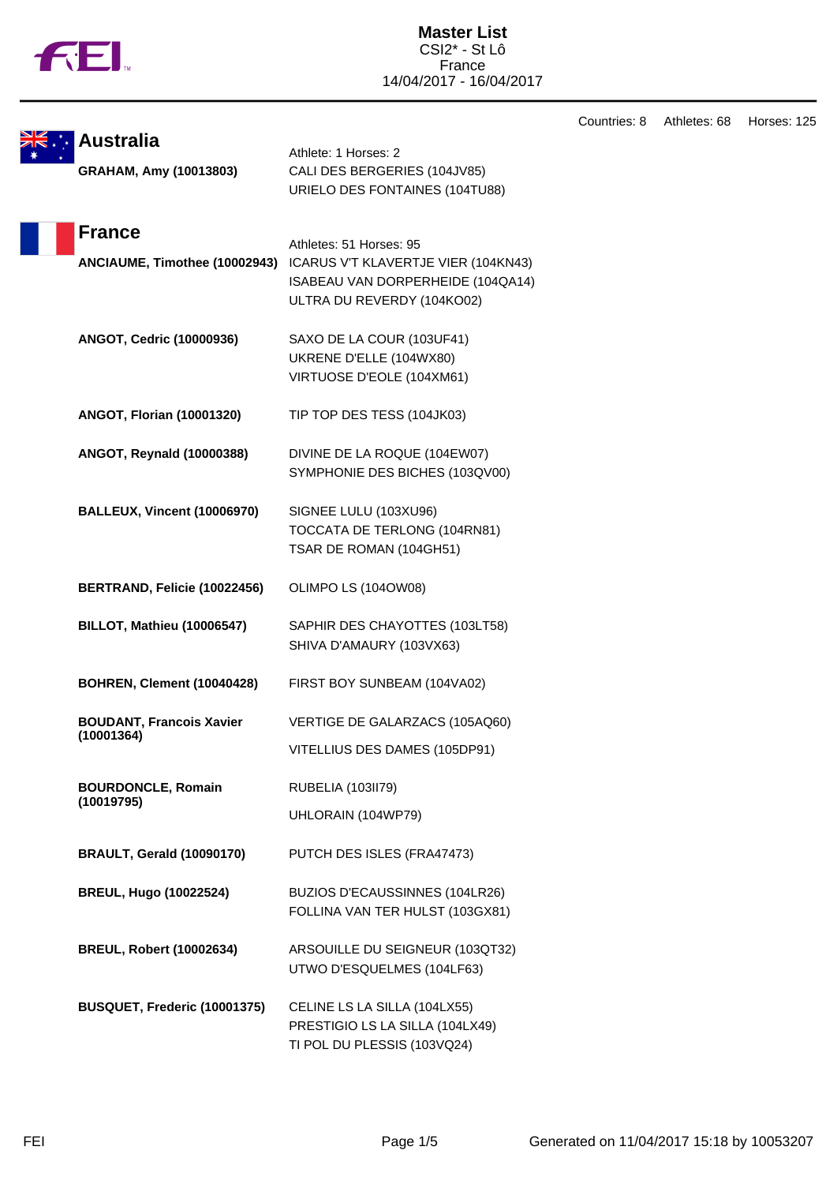

|                                    |                                                                          | Countries: 8 | Athletes: 68 |
|------------------------------------|--------------------------------------------------------------------------|--------------|--------------|
| <b>Australia</b>                   | Athlete: 1 Horses: 2                                                     |              |              |
| GRAHAM, Amy (10013803)             | CALI DES BERGERIES (104JV85)                                             |              |              |
|                                    | URIELO DES FONTAINES (104TU88)                                           |              |              |
|                                    |                                                                          |              |              |
| <b>France</b>                      |                                                                          |              |              |
|                                    | Athletes: 51 Horses: 95                                                  |              |              |
| ANCIAUME, Timothee (10002943)      | ICARUS V'T KLAVERTJE VIER (104KN43)<br>ISABEAU VAN DORPERHEIDE (104QA14) |              |              |
|                                    | ULTRA DU REVERDY (104KO02)                                               |              |              |
|                                    |                                                                          |              |              |
| ANGOT, Cedric (10000936)           | SAXO DE LA COUR (103UF41)                                                |              |              |
|                                    | UKRENE D'ELLE (104WX80)                                                  |              |              |
|                                    | VIRTUOSE D'EOLE (104XM61)                                                |              |              |
|                                    |                                                                          |              |              |
| <b>ANGOT, Florian (10001320)</b>   | TIP TOP DES TESS (104JK03)                                               |              |              |
| ANGOT, Reynald (10000388)          | DIVINE DE LA ROQUE (104EW07)                                             |              |              |
|                                    | SYMPHONIE DES BICHES (103QV00)                                           |              |              |
|                                    |                                                                          |              |              |
| <b>BALLEUX, Vincent (10006970)</b> | SIGNEE LULU (103XU96)                                                    |              |              |
|                                    | TOCCATA DE TERLONG (104RN81)                                             |              |              |
|                                    | TSAR DE ROMAN (104GH51)                                                  |              |              |
| BERTRAND, Felicie (10022456)       | OLIMPO LS (104OW08)                                                      |              |              |
|                                    |                                                                          |              |              |
| <b>BILLOT, Mathieu (10006547)</b>  | SAPHIR DES CHAYOTTES (103LT58)                                           |              |              |
|                                    | SHIVA D'AMAURY (103VX63)                                                 |              |              |
| BOHREN, Clement (10040428)         | FIRST BOY SUNBEAM (104VA02)                                              |              |              |
|                                    |                                                                          |              |              |
| <b>BOUDANT, Francois Xavier</b>    | VERTIGE DE GALARZACS (105AQ60)                                           |              |              |
| (10001364)                         | VITELLIUS DES DAMES (105DP91)                                            |              |              |
|                                    |                                                                          |              |              |
| <b>BOURDONCLE, Romain</b>          | RUBELIA (103II79)                                                        |              |              |
| (10019795)                         | UHLORAIN (104WP79)                                                       |              |              |
| <b>BRAULT, Gerald (10090170)</b>   | PUTCH DES ISLES (FRA47473)                                               |              |              |
|                                    |                                                                          |              |              |
| <b>BREUL, Hugo (10022524)</b>      | BUZIOS D'ECAUSSINNES (104LR26)                                           |              |              |
|                                    | FOLLINA VAN TER HULST (103GX81)                                          |              |              |
|                                    |                                                                          |              |              |
| <b>BREUL, Robert (10002634)</b>    | ARSOUILLE DU SEIGNEUR (103QT32)<br>UTWO D'ESQUELMES (104LF63)            |              |              |
|                                    |                                                                          |              |              |
| BUSQUET, Frederic (10001375)       | CELINE LS LA SILLA (104LX55)                                             |              |              |
|                                    | PRESTIGIO LS LA SILLA (104LX49)                                          |              |              |
|                                    | TI POL DU PLESSIS (103VQ24)                                              |              |              |

Horses: 125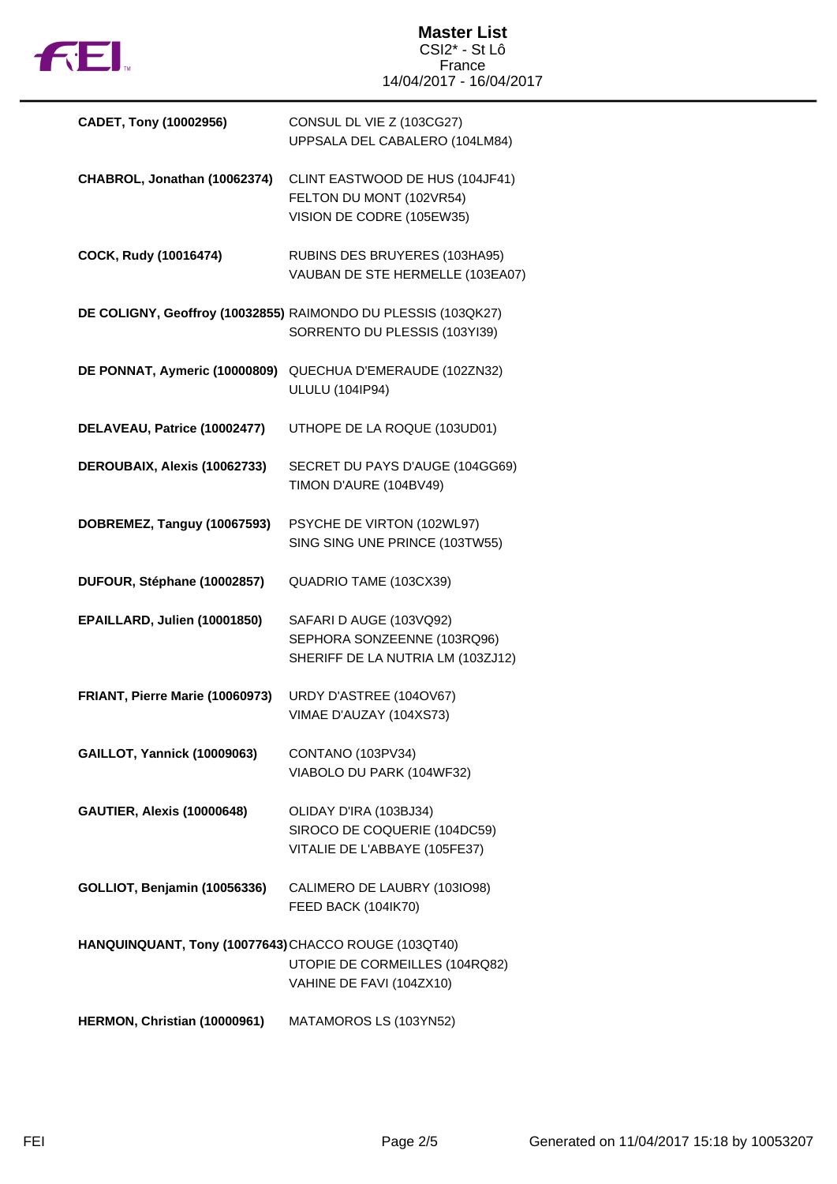

## **Master List** CSI2\* - St Lô France 14/04/2017 - 16/04/2017

| CADET, Tony (10002956)                               | CONSUL DL VIE Z (103CG27)<br>UPPSALA DEL CABALERO (104LM84)                                    |
|------------------------------------------------------|------------------------------------------------------------------------------------------------|
| CHABROL, Jonathan (10062374)                         | CLINT EASTWOOD DE HUS (104JF41)<br>FELTON DU MONT (102VR54)<br>VISION DE CODRE (105EW35)       |
| COCK, Rudy (10016474)                                | RUBINS DES BRUYERES (103HA95)<br>VAUBAN DE STE HERMELLE (103EA07)                              |
|                                                      | DE COLIGNY, Geoffroy (10032855) RAIMONDO DU PLESSIS (103QK27)<br>SORRENTO DU PLESSIS (103YI39) |
| DE PONNAT, Aymeric (10000809)                        | QUECHUA D'EMERAUDE (102ZN32)<br><b>ULULU (104IP94)</b>                                         |
| DELAVEAU, Patrice (10002477)                         | UTHOPE DE LA ROQUE (103UD01)                                                                   |
| DEROUBAIX, Alexis (10062733)                         | SECRET DU PAYS D'AUGE (104GG69)<br>TIMON D'AURE (104BV49)                                      |
| DOBREMEZ, Tanguy (10067593)                          | PSYCHE DE VIRTON (102WL97)<br>SING SING UNE PRINCE (103TW55)                                   |
| DUFOUR, Stéphane (10002857)                          | QUADRIO TAME (103CX39)                                                                         |
| EPAILLARD, Julien (10001850)                         | SAFARI D AUGE (103VQ92)<br>SEPHORA SONZEENNE (103RQ96)<br>SHERIFF DE LA NUTRIA LM (103ZJ12)    |
| FRIANT, Pierre Marie (10060973)                      | URDY D'ASTREE (104OV67)<br>VIMAE D'AUZAY (104XS73)                                             |
| <b>GAILLOT, Yannick (10009063)</b>                   | CONTANO (103PV34)<br>VIABOLO DU PARK (104WF32)                                                 |
| <b>GAUTIER, Alexis (10000648)</b>                    | OLIDAY D'IRA (103BJ34)<br>SIROCO DE COQUERIE (104DC59)<br>VITALIE DE L'ABBAYE (105FE37)        |
| GOLLIOT, Benjamin (10056336)                         | CALIMERO DE LAUBRY (103IO98)<br>FEED BACK (104IK70)                                            |
| HANQUINQUANT, Tony (10077643) CHACCO ROUGE (103QT40) | UTOPIE DE CORMEILLES (104RQ82)<br>VAHINE DE FAVI (104ZX10)                                     |
| HERMON, Christian (10000961)                         | MATAMOROS LS (103YN52)                                                                         |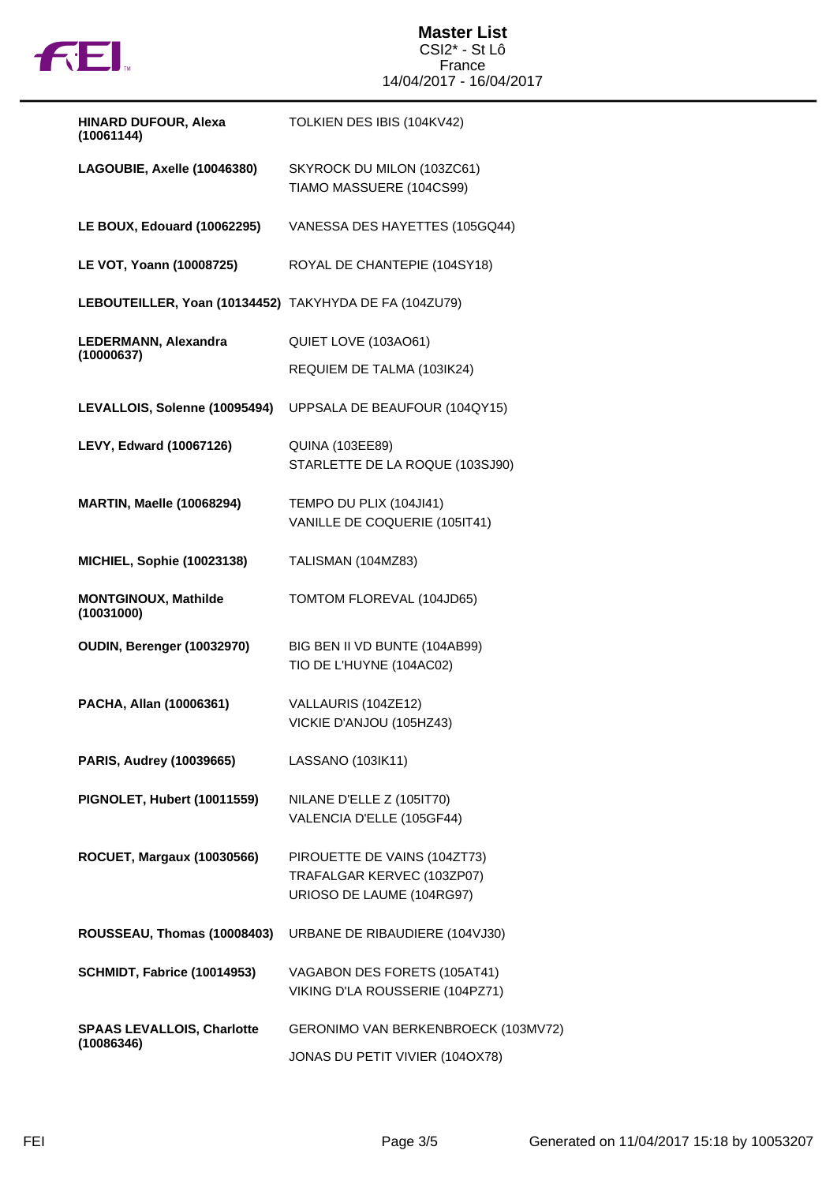

### **Master List** CSI2\* - St Lô France 14/04/2017 - 16/04/2017

| HINARD DUFOUR, Alexa<br>(10061144)                     | TOLKIEN DES IBIS (104KV42)                                                              |
|--------------------------------------------------------|-----------------------------------------------------------------------------------------|
| LAGOUBIE, Axelle (10046380)                            | SKYROCK DU MILON (103ZC61)<br>TIAMO MASSUERE (104CS99)                                  |
| LE BOUX, Edouard (10062295)                            | VANESSA DES HAYETTES (105GQ44)                                                          |
| LE VOT, Yoann (10008725)                               | ROYAL DE CHANTEPIE (104SY18)                                                            |
| LEBOUTEILLER, Yoan (10134452) TAKYHYDA DE FA (104ZU79) |                                                                                         |
| LEDERMANN, Alexandra                                   | QUIET LOVE (103AO61)                                                                    |
| (10000637)                                             | REQUIEM DE TALMA (103IK24)                                                              |
| LEVALLOIS, Solenne (10095494)                          | UPPSALA DE BEAUFOUR (104QY15)                                                           |
| <b>LEVY, Edward (10067126)</b>                         | <b>QUINA (103EE89)</b><br>STARLETTE DE LA ROQUE (103SJ90)                               |
| <b>MARTIN, Maelle (10068294)</b>                       | TEMPO DU PLIX (104JI41)<br>VANILLE DE COQUERIE (105IT41)                                |
| <b>MICHIEL, Sophie (10023138)</b>                      | TALISMAN (104MZ83)                                                                      |
| <b>MONTGINOUX, Mathilde</b><br>(10031000)              | TOMTOM FLOREVAL (104JD65)                                                               |
| OUDIN, Berenger (10032970)                             | BIG BEN II VD BUNTE (104AB99)<br>TIO DE L'HUYNE (104AC02)                               |
| PACHA, Allan (10006361)                                | VALLAURIS (104ZE12)<br>VICKIE D'ANJOU (105HZ43)                                         |
| <b>PARIS, Audrey (10039665)</b>                        | LASSANO (103IK11)                                                                       |
| PIGNOLET, Hubert (10011559)                            | NILANE D'ELLE Z (105IT70)<br>VALENCIA D'ELLE (105GF44)                                  |
| ROCUET, Margaux (10030566)                             | PIROUETTE DE VAINS (104ZT73)<br>TRAFALGAR KERVEC (103ZP07)<br>URIOSO DE LAUME (104RG97) |
| ROUSSEAU, Thomas (10008403)                            | URBANE DE RIBAUDIERE (104VJ30)                                                          |
| SCHMIDT, Fabrice (10014953)                            | VAGABON DES FORETS (105AT41)<br>VIKING D'LA ROUSSERIE (104PZ71)                         |
| <b>SPAAS LEVALLOIS, Charlotte</b><br>(10086346)        | GERONIMO VAN BERKENBROECK (103MV72)                                                     |
|                                                        | JONAS DU PETIT VIVIER (104OX78)                                                         |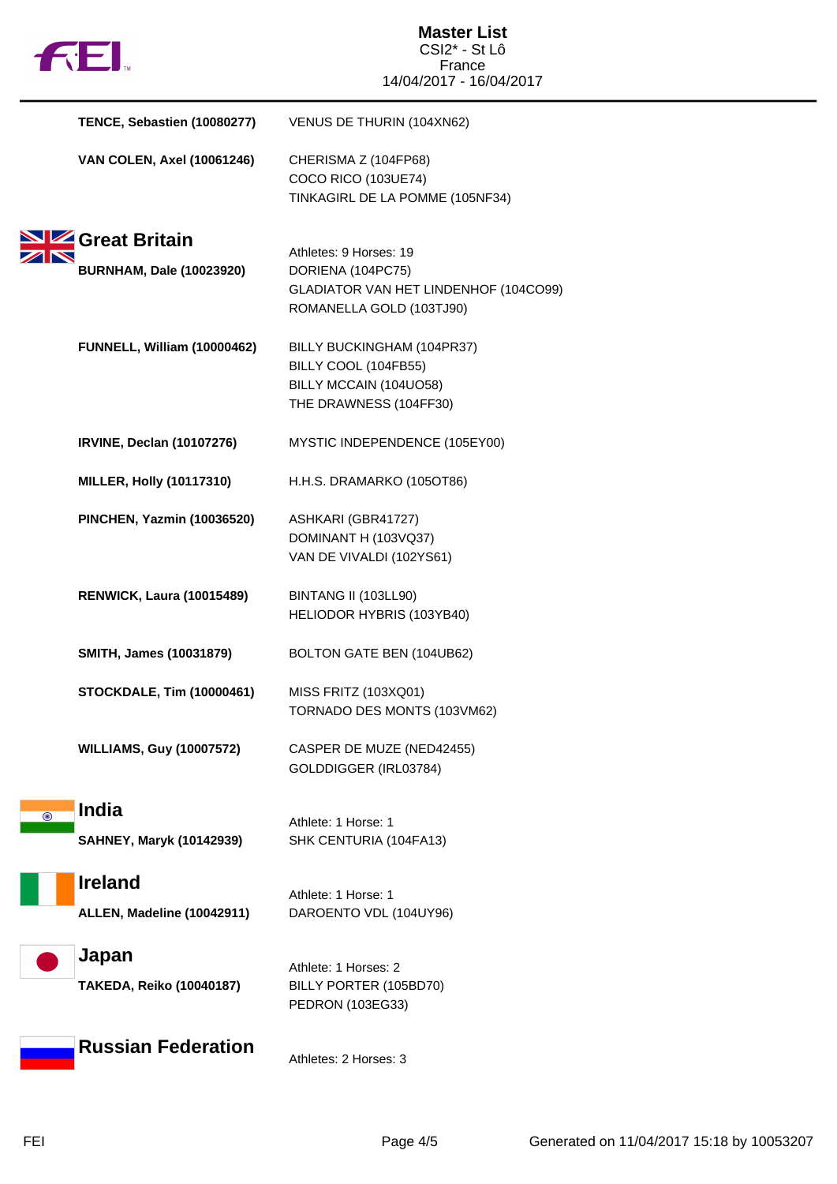|         | <b>FEI</b>                                      | <b>Master List</b><br>CSI2* - St Lô                                                                              |
|---------|-------------------------------------------------|------------------------------------------------------------------------------------------------------------------|
|         |                                                 | France<br>14/04/2017 - 16/04/2017                                                                                |
|         | TENCE, Sebastien (10080277)                     | VENUS DE THURIN (104XN62)                                                                                        |
|         | <b>VAN COLEN, Axel (10061246)</b>               | CHERISMA Z (104FP68)<br>COCO RICO (103UE74)<br>TINKAGIRL DE LA POMME (105NF34)                                   |
|         | <b>NZ</b> Great Britain                         |                                                                                                                  |
|         | <b>BURNHAM, Dale (10023920)</b>                 | Athletes: 9 Horses: 19<br>DORIENA (104PC75)<br>GLADIATOR VAN HET LINDENHOF (104CO99)<br>ROMANELLA GOLD (103TJ90) |
|         | FUNNELL, William (10000462)                     | BILLY BUCKINGHAM (104PR37)<br>BILLY COOL (104FB55)<br>BILLY MCCAIN (104UO58)<br>THE DRAWNESS (104FF30)           |
|         | <b>IRVINE, Declan (10107276)</b>                | MYSTIC INDEPENDENCE (105EY00)                                                                                    |
|         | <b>MILLER, Holly (10117310)</b>                 | H.H.S. DRAMARKO (105OT86)                                                                                        |
|         | <b>PINCHEN, Yazmin (10036520)</b>               | ASHKARI (GBR41727)<br>DOMINANT H (103VQ37)<br>VAN DE VIVALDI (102YS61)                                           |
|         | <b>RENWICK, Laura (10015489)</b>                | BINTANG II (103LL90)<br>HELIODOR HYBRIS (103YB40)                                                                |
|         | SMITH, James (10031879)                         | BOLTON GATE BEN (104UB62)                                                                                        |
|         | <b>STOCKDALE, Tim (10000461)</b>                | MISS FRITZ (103XQ01)<br>TORNADO DES MONTS (103VM62)                                                              |
|         | <b>WILLIAMS, Guy (10007572)</b>                 | CASPER DE MUZE (NED42455)<br>GOLDDIGGER (IRL03784)                                                               |
| $\odot$ | <b>India</b><br><b>SAHNEY, Maryk (10142939)</b> | Athlete: 1 Horse: 1<br>SHK CENTURIA (104FA13)                                                                    |
|         | <b>Ireland</b><br>ALLEN, Madeline (10042911)    | Athlete: 1 Horse: 1<br>DAROENTO VDL (104UY96)                                                                    |
|         | Japan<br>TAKEDA, Reiko (10040187)               | Athlete: 1 Horses: 2<br>BILLY PORTER (105BD70)<br>PEDRON (103EG33)                                               |
|         | <b>Russian Federation</b>                       | Athletes: 2 Horses: 3                                                                                            |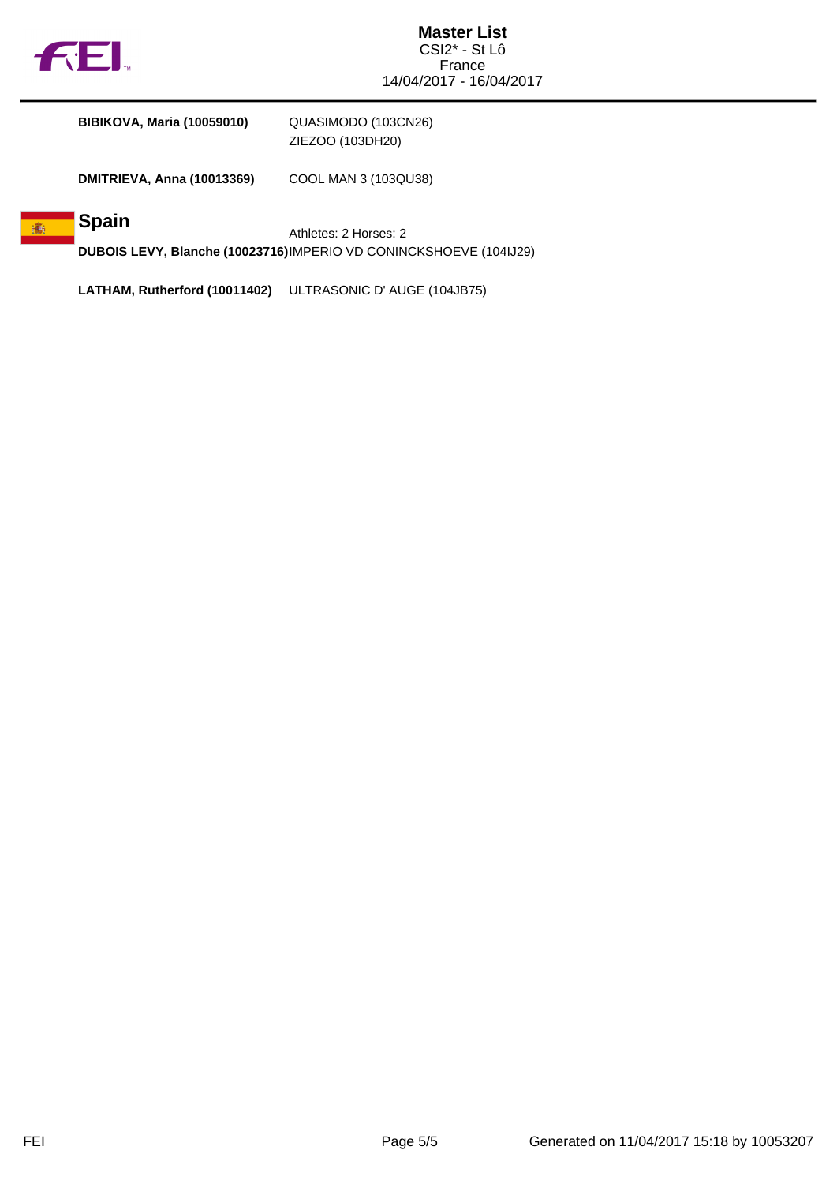

**BIBIKOVA, Maria (10059010)** QUASIMODO (103CN26)

ZIEZOO (103DH20)

**DMITRIEVA, Anna (10013369)** COOL MAN 3 (103QU38)

#### **Spain** 高

Athletes: 2 Horses: 2 **DUBOIS LEVY, Blanche (10023716)**IMPERIO VD CONINCKSHOEVE (104IJ29)

**LATHAM, Rutherford (10011402)** ULTRASONIC D' AUGE (104JB75)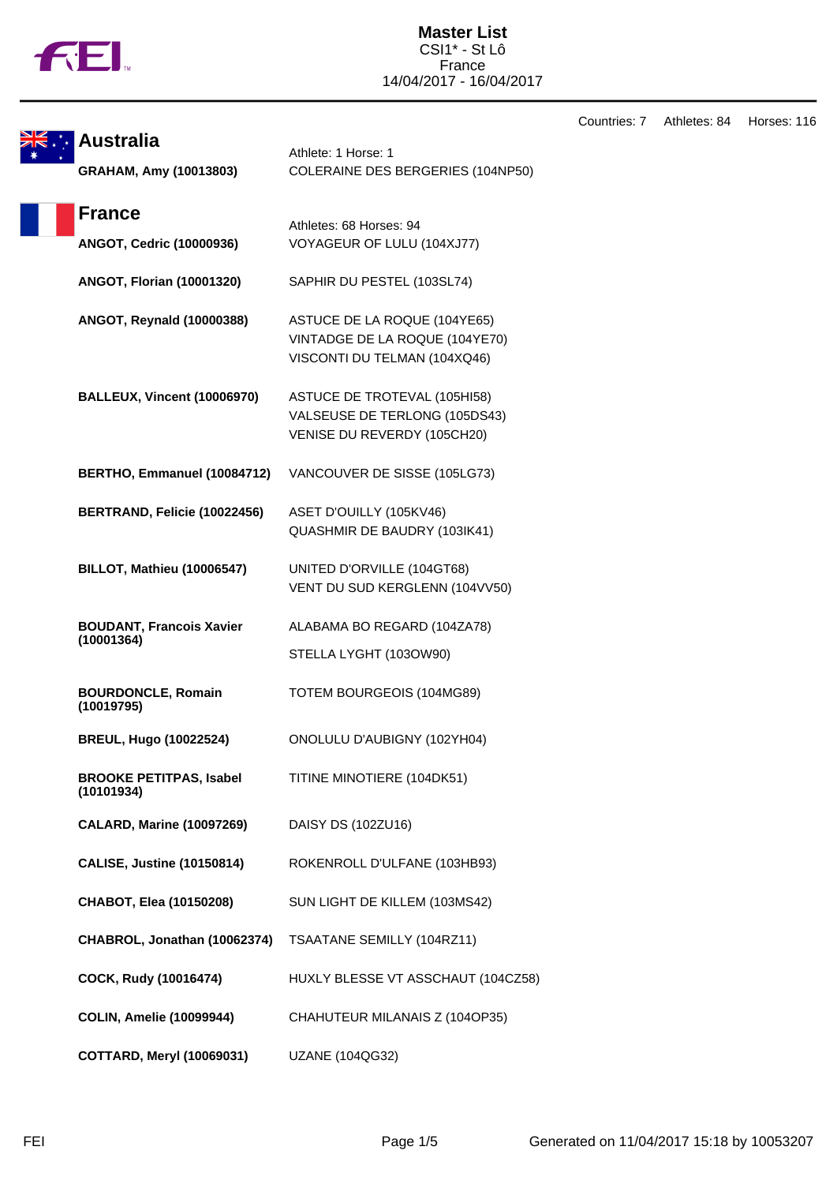

|                                               |                                                                                                | Countries: 7 | Athletes: 84 | Horses: 116 |
|-----------------------------------------------|------------------------------------------------------------------------------------------------|--------------|--------------|-------------|
| <b>Australia</b><br>GRAHAM, Amy (10013803)    | Athlete: 1 Horse: 1<br>COLERAINE DES BERGERIES (104NP50)                                       |              |              |             |
| <b>France</b><br>ANGOT, Cedric (10000936)     | Athletes: 68 Horses: 94<br>VOYAGEUR OF LULU (104XJ77)                                          |              |              |             |
| <b>ANGOT, Florian (10001320)</b>              | SAPHIR DU PESTEL (103SL74)                                                                     |              |              |             |
| ANGOT, Reynald (10000388)                     | ASTUCE DE LA ROQUE (104YE65)<br>VINTADGE DE LA ROQUE (104YE70)<br>VISCONTI DU TELMAN (104XQ46) |              |              |             |
| <b>BALLEUX, Vincent (10006970)</b>            | ASTUCE DE TROTEVAL (105HI58)<br>VALSEUSE DE TERLONG (105DS43)<br>VENISE DU REVERDY (105CH20)   |              |              |             |
| BERTHO, Emmanuel (10084712)                   | VANCOUVER DE SISSE (105LG73)                                                                   |              |              |             |
| BERTRAND, Felicie (10022456)                  | ASET D'OUILLY (105KV46)<br>QUASHMIR DE BAUDRY (103IK41)                                        |              |              |             |
| BILLOT, Mathieu (10006547)                    | UNITED D'ORVILLE (104GT68)<br>VENT DU SUD KERGLENN (104VV50)                                   |              |              |             |
| <b>BOUDANT, Francois Xavier</b><br>(10001364) | ALABAMA BO REGARD (104ZA78)<br>STELLA LYGHT (103OW90)                                          |              |              |             |
| <b>BOURDONCLE, Romain</b><br>(10019795)       | TOTEM BOURGEOIS (104MG89)                                                                      |              |              |             |
| <b>BREUL, Hugo (10022524)</b>                 | ONOLULU D'AUBIGNY (102YH04)                                                                    |              |              |             |
| <b>BROOKE PETITPAS, Isabel</b><br>(10101934)  | TITINE MINOTIERE (104DK51)                                                                     |              |              |             |
| <b>CALARD, Marine (10097269)</b>              | DAISY DS (102ZU16)                                                                             |              |              |             |
| <b>CALISE, Justine (10150814)</b>             | ROKENROLL D'ULFANE (103HB93)                                                                   |              |              |             |
| CHABOT, Elea (10150208)                       | SUN LIGHT DE KILLEM (103MS42)                                                                  |              |              |             |
| CHABROL, Jonathan (10062374)                  | TSAATANE SEMILLY (104RZ11)                                                                     |              |              |             |
| COCK, Rudy (10016474)                         | HUXLY BLESSE VT ASSCHAUT (104CZ58)                                                             |              |              |             |
| <b>COLIN, Amelie (10099944)</b>               | CHAHUTEUR MILANAIS Z (104OP35)                                                                 |              |              |             |
| <b>COTTARD, Meryl (10069031)</b>              | UZANE (104QG32)                                                                                |              |              |             |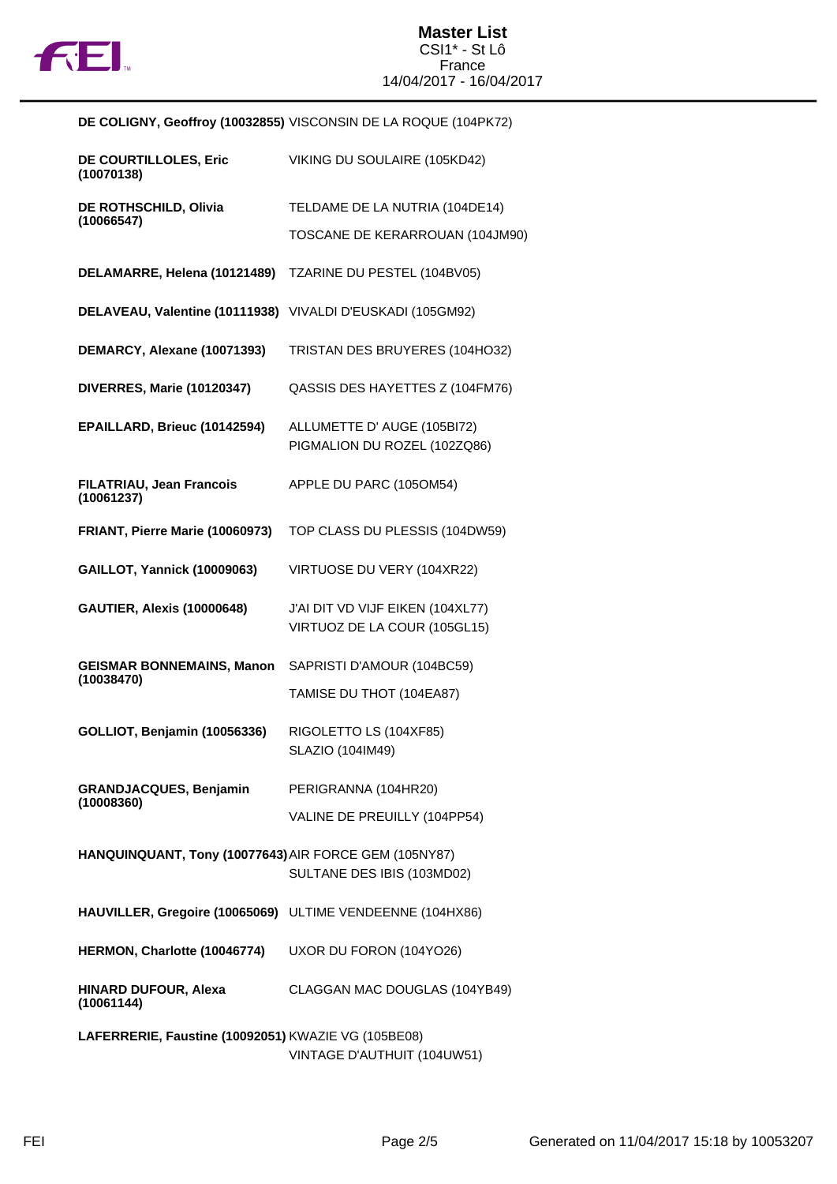

|                                                            | DE COLIGNY, Geoffroy (10032855) VISCONSIN DE LA ROQUE (104PK72)  |
|------------------------------------------------------------|------------------------------------------------------------------|
| DE COURTILLOLES, Eric<br>(10070138)                        | VIKING DU SOULAIRE (105KD42)                                     |
| DE ROTHSCHILD, Olivia                                      | TELDAME DE LA NUTRIA (104DE14)                                   |
| (10066547)                                                 | TOSCANE DE KERARROUAN (104JM90)                                  |
| DELAMARRE, Helena (10121489)                               | TZARINE DU PESTEL (104BV05)                                      |
| DELAVEAU, Valentine (10111938) VIVALDI D'EUSKADI (105GM92) |                                                                  |
| DEMARCY, Alexane (10071393)                                | TRISTAN DES BRUYERES (104HO32)                                   |
| <b>DIVERRES, Marie (10120347)</b>                          | QASSIS DES HAYETTES Z (104FM76)                                  |
| EPAILLARD, Brieuc (10142594)                               | ALLUMETTE D' AUGE (105BI72)<br>PIGMALION DU ROZEL (102ZQ86)      |
| <b>FILATRIAU, Jean Francois</b><br>(10061237)              | APPLE DU PARC (105OM54)                                          |
| FRIANT, Pierre Marie (10060973)                            | TOP CLASS DU PLESSIS (104DW59)                                   |
| <b>GAILLOT, Yannick (10009063)</b>                         | VIRTUOSE DU VERY (104XR22)                                       |
| <b>GAUTIER, Alexis (10000648)</b>                          | J'AI DIT VD VIJF EIKEN (104XL77)<br>VIRTUOZ DE LA COUR (105GL15) |
| <b>GEISMAR BONNEMAINS, Manon</b>                           | SAPRISTI D'AMOUR (104BC59)                                       |
| (10038470)                                                 | TAMISE DU THOT (104EA87)                                         |
| GOLLIOT, Benjamin (10056336)                               | RIGOLETTO LS (104XF85)<br>SLAZIO (104IM49)                       |
| <b>GRANDJACQUES, Benjamin</b>                              | PERIGRANNA (104HR20)                                             |
| (10008360)                                                 | VALINE DE PREUILLY (104PP54)                                     |
| HANQUINQUANT, Tony (10077643) AIR FORCE GEM (105NY87)      | SULTANE DES IBIS (103MD02)                                       |
| HAUVILLER, Gregoire (10065069) ULTIME VENDEENNE (104HX86)  |                                                                  |
| HERMON, Charlotte (10046774)                               | UXOR DU FORON (104YO26)                                          |
| <b>HINARD DUFOUR, Alexa</b><br>(10061144)                  | CLAGGAN MAC DOUGLAS (104YB49)                                    |
| LAFERRERIE, Faustine (10092051) KWAZIE VG (105BE08)        | VINTAGE D'AUTHUIT (104UW51)                                      |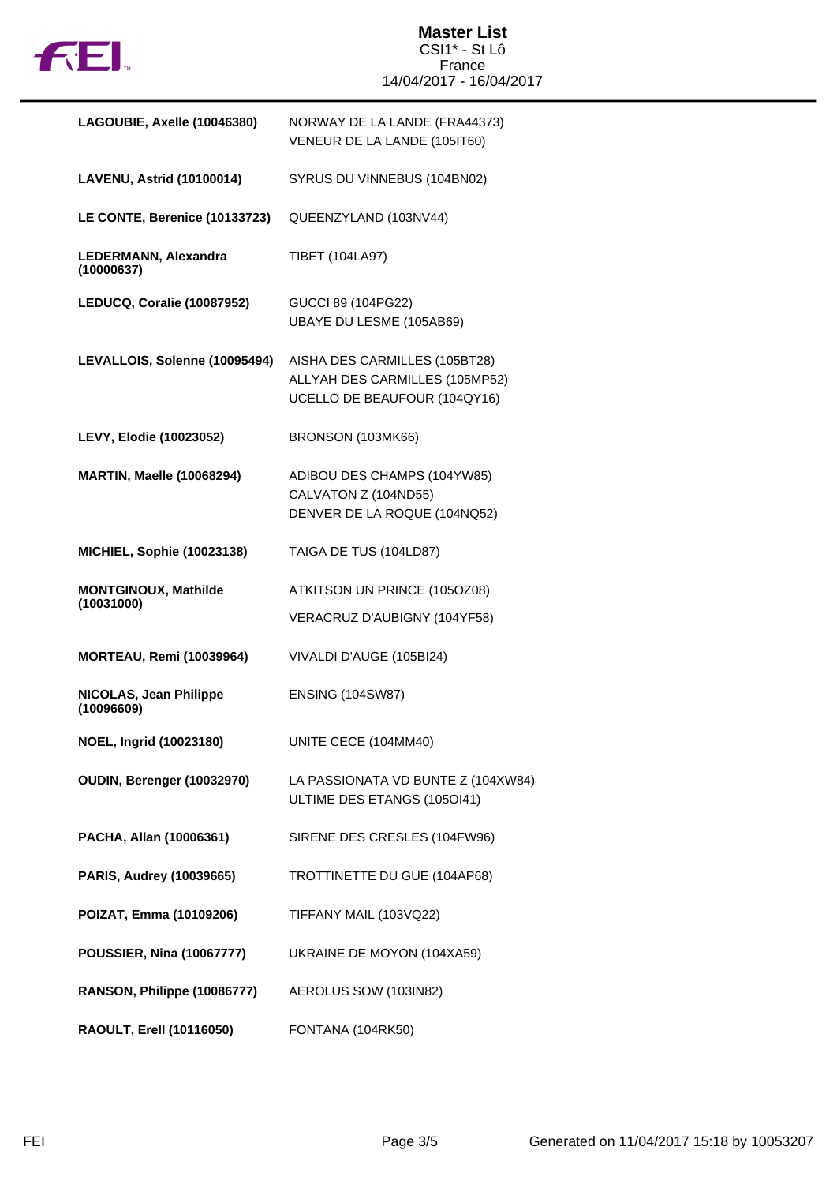

| LAGOUBIE, Axelle (10046380)                       | NORWAY DE LA LANDE (FRA44373)<br>VENEUR DE LA LANDE (105IT60)                                   |
|---------------------------------------------------|-------------------------------------------------------------------------------------------------|
| LAVENU, Astrid (10100014)                         | SYRUS DU VINNEBUS (104BN02)                                                                     |
| LE CONTE, Berenice (10133723)                     | QUEENZYLAND (103NV44)                                                                           |
| LEDERMANN, Alexandra<br>(10000637)                | TIBET (104LA97)                                                                                 |
| LEDUCQ, Coralie (10087952)                        | GUCCI 89 (104PG22)<br>UBAYE DU LESME (105AB69)                                                  |
| LEVALLOIS, Solenne (10095494)                     | AISHA DES CARMILLES (105BT28)<br>ALLYAH DES CARMILLES (105MP52)<br>UCELLO DE BEAUFOUR (104QY16) |
| LEVY, Elodie (10023052)                           | BRONSON (103MK66)                                                                               |
| <b>MARTIN, Maelle (10068294)</b>                  | ADIBOU DES CHAMPS (104YW85)<br>CALVATON Z (104ND55)<br>DENVER DE LA ROQUE (104NQ52)             |
| <b>MICHIEL, Sophie (10023138)</b>                 | TAIGA DE TUS (104LD87)                                                                          |
| <b>MONTGINOUX, Mathilde</b><br>(10031000)         | ATKITSON UN PRINCE (105OZ08)                                                                    |
|                                                   | VERACRUZ D'AUBIGNY (104YF58)                                                                    |
| <b>MORTEAU, Remi (10039964)</b>                   | VIVALDI D'AUGE (105BI24)                                                                        |
| <b>NICOLAS, Jean Philippe</b><br>(10096609)       | <b>ENSING (104SW87)</b>                                                                         |
| NOEL, Ingrid (10023180)                           | UNITE CECE (104MM40)                                                                            |
| OUDIN, Berenger (10032970)                        | LA PASSIONATA VD BUNTE Z (104XW84)<br>ULTIME DES ETANGS (105OI41)                               |
| PACHA, Allan (10006361)                           | SIRENE DES CRESLES (104FW96)                                                                    |
| PARIS, Audrey (10039665)                          | TROTTINETTE DU GUE (104AP68)                                                                    |
| POIZAT, Emma (10109206)                           | TIFFANY MAIL (103VQ22)                                                                          |
| <b>POUSSIER, Nina (10067777)</b>                  | UKRAINE DE MOYON (104XA59)                                                                      |
| RANSON, Philippe (10086777) AEROLUS SOW (103IN82) |                                                                                                 |
| <b>RAOULT, Erell (10116050)</b>                   | FONTANA (104RK50)                                                                               |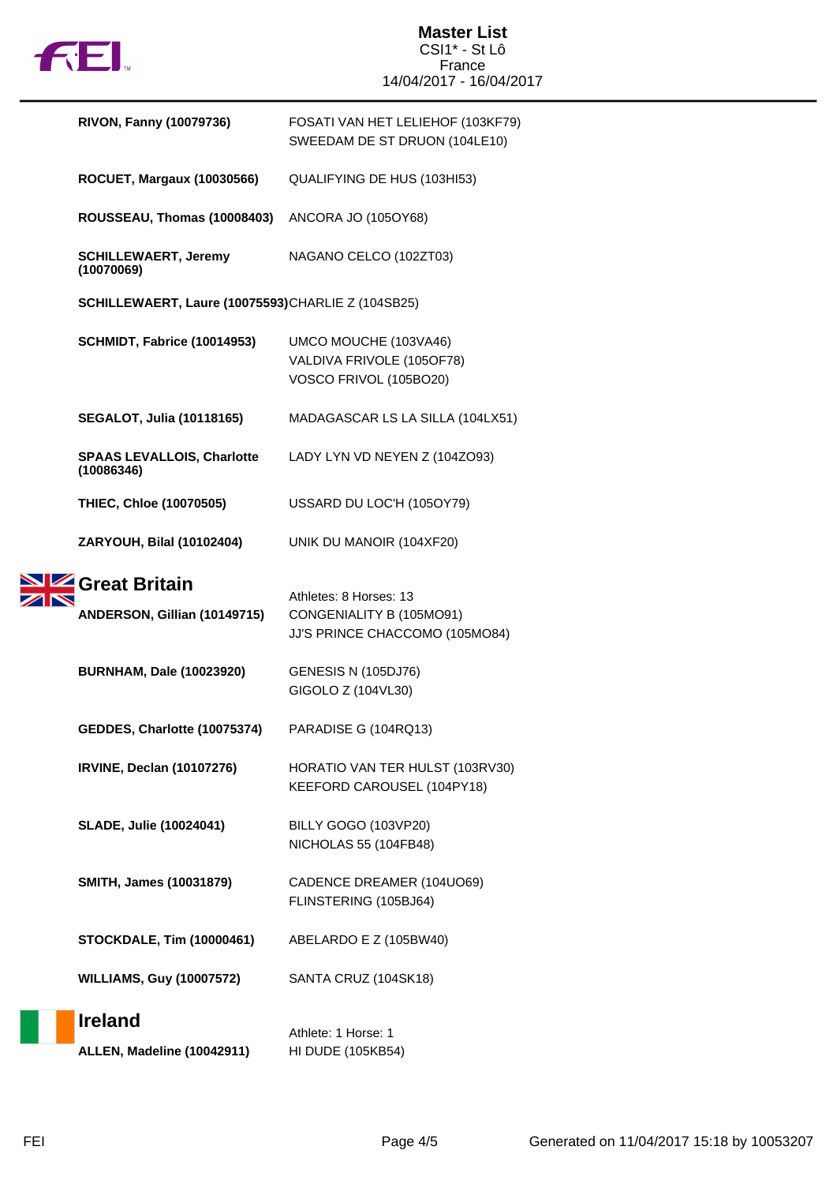

|  | <b>RIVON, Fanny (10079736)</b>                    | FOSATI VAN HET LELIEHOF (103KF79)<br>SWEEDAM DE ST DRUON (104LE10)           |  |  |
|--|---------------------------------------------------|------------------------------------------------------------------------------|--|--|
|  | <b>ROCUET, Margaux (10030566)</b>                 | QUALIFYING DE HUS (103HI53)                                                  |  |  |
|  | ROUSSEAU, Thomas (10008403)                       | ANCORA JO (105OY68)                                                          |  |  |
|  | <b>SCHILLEWAERT, Jeremy</b><br>(10070069)         | NAGANO CELCO (102ZT03)                                                       |  |  |
|  | SCHILLEWAERT, Laure (10075593)CHARLIE Z (104SB25) |                                                                              |  |  |
|  | SCHMIDT, Fabrice (10014953)                       | UMCO MOUCHE (103VA46)<br>VALDIVA FRIVOLE (105OF78)<br>VOSCO FRIVOL (105BO20) |  |  |
|  | <b>SEGALOT, Julia (10118165)</b>                  | MADAGASCAR LS LA SILLA (104LX51)                                             |  |  |
|  | <b>SPAAS LEVALLOIS, Charlotte</b><br>(10086346)   | LADY LYN VD NEYEN Z (104ZO93)                                                |  |  |
|  | THIEC, Chloe (10070505)                           | USSARD DU LOC'H (105OY79)                                                    |  |  |
|  | ZARYOUH, Bilal (10102404)                         | UNIK DU MANOIR (104XF20)                                                     |  |  |
|  | Great Britain<br>ANDERSON, Gillian (10149715)     | Athletes: 8 Horses: 13<br>CONGENIALITY B (105MO91)                           |  |  |
|  |                                                   | JJ'S PRINCE CHACCOMO (105MO84)                                               |  |  |
|  | <b>BURNHAM, Dale (10023920)</b>                   | <b>GENESIS N (105DJ76)</b><br>GIGOLO Z (104VL30)                             |  |  |
|  | GEDDES, Charlotte (10075374)                      | PARADISE G (104RQ13)                                                         |  |  |
|  | <b>IRVINE, Declan (10107276)</b>                  | HORATIO VAN TER HULST (103RV30)<br>KEEFORD CAROUSEL (104PY18)                |  |  |
|  | <b>SLADE, Julie (10024041)</b>                    | BILLY GOGO (103VP20)<br>NICHOLAS 55 (104FB48)                                |  |  |
|  | SMITH, James (10031879)                           | CADENCE DREAMER (104UO69)<br>FLINSTERING (105BJ64)                           |  |  |
|  | <b>STOCKDALE, Tim (10000461)</b>                  | ABELARDO E Z (105BW40)                                                       |  |  |
|  | <b>WILLIAMS, Guy (10007572)</b>                   | SANTA CRUZ (104SK18)                                                         |  |  |
|  | <b>Ireland</b>                                    | Athlete: 1 Horse: 1                                                          |  |  |
|  | ALLEN, Madeline (10042911)                        | HI DUDE (105KB54)                                                            |  |  |